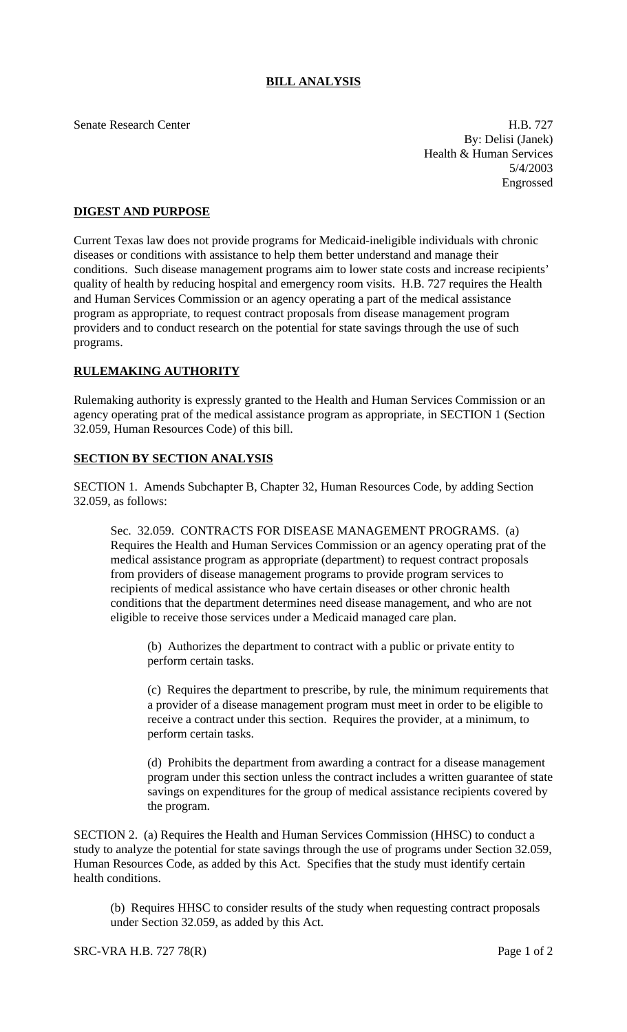## **BILL ANALYSIS**

Senate Research Center H.B. 727 By: Delisi (Janek) Health & Human Services 5/4/2003 Engrossed

## **DIGEST AND PURPOSE**

Current Texas law does not provide programs for Medicaid-ineligible individuals with chronic diseases or conditions with assistance to help them better understand and manage their conditions. Such disease management programs aim to lower state costs and increase recipients' quality of health by reducing hospital and emergency room visits. H.B. 727 requires the Health and Human Services Commission or an agency operating a part of the medical assistance program as appropriate, to request contract proposals from disease management program providers and to conduct research on the potential for state savings through the use of such programs.

## **RULEMAKING AUTHORITY**

Rulemaking authority is expressly granted to the Health and Human Services Commission or an agency operating prat of the medical assistance program as appropriate, in SECTION 1 (Section 32.059, Human Resources Code) of this bill.

## **SECTION BY SECTION ANALYSIS**

SECTION 1. Amends Subchapter B, Chapter 32, Human Resources Code, by adding Section 32.059, as follows:

Sec. 32.059. CONTRACTS FOR DISEASE MANAGEMENT PROGRAMS. (a) Requires the Health and Human Services Commission or an agency operating prat of the medical assistance program as appropriate (department) to request contract proposals from providers of disease management programs to provide program services to recipients of medical assistance who have certain diseases or other chronic health conditions that the department determines need disease management, and who are not eligible to receive those services under a Medicaid managed care plan.

(b) Authorizes the department to contract with a public or private entity to perform certain tasks.

(c) Requires the department to prescribe, by rule, the minimum requirements that a provider of a disease management program must meet in order to be eligible to receive a contract under this section. Requires the provider, at a minimum, to perform certain tasks.

(d) Prohibits the department from awarding a contract for a disease management program under this section unless the contract includes a written guarantee of state savings on expenditures for the group of medical assistance recipients covered by the program.

SECTION 2. (a) Requires the Health and Human Services Commission (HHSC) to conduct a study to analyze the potential for state savings through the use of programs under Section 32.059, Human Resources Code, as added by this Act. Specifies that the study must identify certain health conditions.

(b) Requires HHSC to consider results of the study when requesting contract proposals under Section 32.059, as added by this Act.